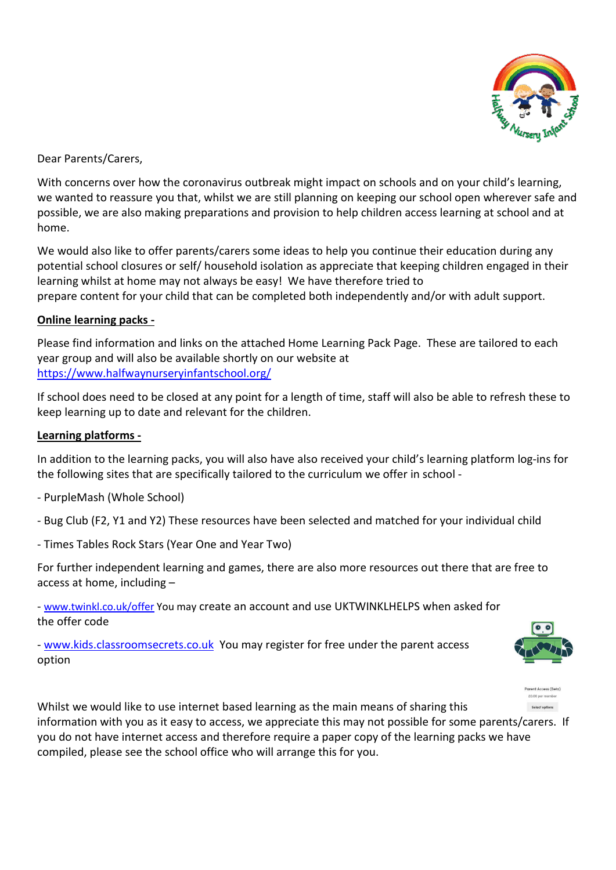

Dear Parents/Carers,

With concerns over how the coronavirus outbreak might impact on schools and on your child's learning, we wanted to reassure you that, whilst we are still planning on keeping our school open wherever safe and possible, we are also making preparations and provision to help children access learning at school and at home.

We would also like to offer parents/carers some ideas to help you continue their education during any potential school closures or self/ household isolation as appreciate that keeping children engaged in their learning whilst at home may not always be easy! We have therefore tried to prepare content for your child that can be completed both independently and/or with adult support.

## **Online learning packs -**

Please find information and links on the attached Home Learning Pack Page. These are tailored to each year group and will also be available shortly on our website at https://www.halfwaynurseryinfantschool.org/

If school does need to be closed at any point for a length of time, staff will also be able to refresh these to keep learning up to date and relevant for the children.

## **Learning platforms -**

In addition to the learning packs, you will also have also received your child's learning platform log-ins for the following sites that are specifically tailored to the curriculum we offer in school -

- PurpleMash (Whole School)
- Bug Club (F2, Y1 and Y2) These resources have been selected and matched for your individual child
- Times Tables Rock Stars (Year One and Year Two)

For further independent learning and games, there are also more resources out there that are free to access at home, including –

- www.twinkl.co.uk/offer You may create an account and use UKTWINKLHELPS when asked for the offer code

- www.kids.classroomsecrets.co.uk You may register for free under the parent access option





Whilst we would like to use internet based learning as the main means of sharing this information with you as it easy to access, we appreciate this may not possible for some parents/carers. If you do not have internet access and therefore require a paper copy of the learning packs we have compiled, please see the school office who will arrange this for you.